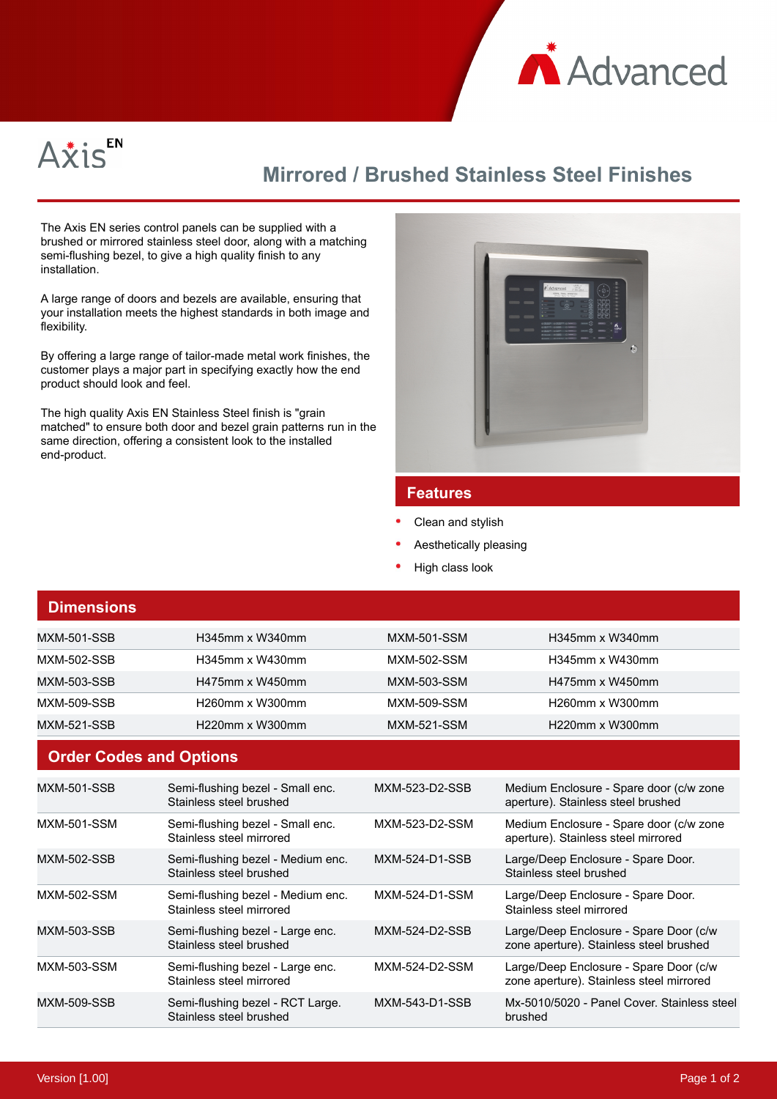



## **Mirrored / Brushed Stainless Steel Finishes**

The Axis EN series control panels can be supplied with a brushed or mirrored stainless steel door, along with a matching semi-flushing bezel, to give a high quality finish to any installation.

A large range of doors and bezels are available, ensuring that your installation meets the highest standards in both image and flexibility.

By offering a large range of tailor-made metal work finishes, the customer plays a major part in specifying exactly how the end product should look and feel.

The high quality Axis EN Stainless Steel finish is "grain matched" to ensure both door and bezel grain patterns run in the same direction, offering a consistent look to the installed end-product.

Stainless steel brushed



## **Features**

- Clean and stylish
- Aesthetically pleasing

brushed

High class look

| <b>Dimensions</b>  |                                                               |                       |                                                                                    |
|--------------------|---------------------------------------------------------------|-----------------------|------------------------------------------------------------------------------------|
| MXM-501-SSB        | H345mm x W340mm                                               | <b>MXM-501-SSM</b>    | H345mm x W340mm                                                                    |
| <b>MXM-502-SSB</b> | H345mm x W430mm                                               | <b>MXM-502-SSM</b>    | H345mm x W430mm                                                                    |
| <b>MXM-503-SSB</b> | H475mm x W450mm                                               | <b>MXM-503-SSM</b>    | H475mm x W450mm                                                                    |
| <b>MXM-509-SSB</b> | H260mm x W300mm                                               | <b>MXM-509-SSM</b>    | H260mm x W300mm                                                                    |
| <b>MXM-521-SSB</b> | H220mm x W300mm                                               | <b>MXM-521-SSM</b>    | H220mm x W300mm                                                                    |
|                    | <b>Order Codes and Options</b>                                |                       |                                                                                    |
| <b>MXM-501-SSB</b> | Semi-flushing bezel - Small enc.<br>Stainless steel brushed   | MXM-523-D2-SSB        | Medium Enclosure - Spare door (c/w zone<br>aperture). Stainless steel brushed      |
| <b>MXM-501-SSM</b> | Semi-flushing bezel - Small enc.<br>Stainless steel mirrored  | MXM-523-D2-SSM        | Medium Enclosure - Spare door (c/w zone<br>aperture). Stainless steel mirrored     |
| <b>MXM-502-SSB</b> | Semi-flushing bezel - Medium enc.<br>Stainless steel brushed  | <b>MXM-524-D1-SSB</b> | Large/Deep Enclosure - Spare Door.<br>Stainless steel brushed                      |
| <b>MXM-502-SSM</b> | Semi-flushing bezel - Medium enc.<br>Stainless steel mirrored | MXM-524-D1-SSM        | Large/Deep Enclosure - Spare Door.<br>Stainless steel mirrored                     |
| <b>MXM-503-SSB</b> | Semi-flushing bezel - Large enc.<br>Stainless steel brushed   | MXM-524-D2-SSB        | Large/Deep Enclosure - Spare Door (c/w<br>zone aperture). Stainless steel brushed  |
| <b>MXM-503-SSM</b> | Semi-flushing bezel - Large enc.<br>Stainless steel mirrored  | MXM-524-D2-SSM        | Large/Deep Enclosure - Spare Door (c/w<br>zone aperture). Stainless steel mirrored |
| <b>MXM-509-SSB</b> | Semi-flushing bezel - RCT Large.                              | MXM-543-D1-SSB        | Mx-5010/5020 - Panel Cover, Stainless steel                                        |